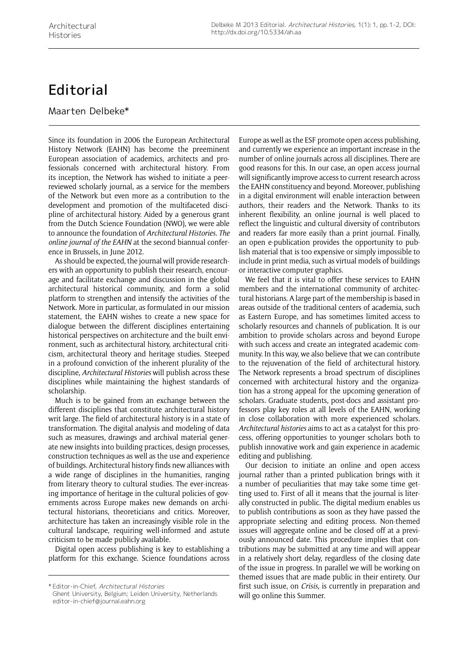## **Editorial**

Maarten Delbeke\*

Since its foundation in 2006 the European Architectural History Network (EAHN) has become the preeminent European association of academics, architects and professionals concerned with architectural history. From its inception, the Network has wished to initiate a peerreviewed scholarly journal, as a service for the members of the Network but even more as a contribution to the development and promotion of the multifaceted discipline of architectural history. Aided by a generous grant from the Dutch Science Foundation (NWO), we were able to announce the foundation of *Architectural Histories. The online journal of the EAHN* at the second biannual conference in Brussels, in June 2012.

As should be expected, the journal will provide researchers with an opportunity to publish their research, encourage and facilitate exchange and discussion in the global architectural historical community, and form a solid platform to strengthen and intensify the activities of the Network. More in particular, as formulated in our mission statement, the EAHN wishes to create a new space for dialogue between the different disciplines entertaining historical perspectives on architecture and the built environment, such as architectural history, architectural criticism, architectural theory and heritage studies. Steeped in a profound conviction of the inherent plurality of the discipline, *Architectural Histories* will publish across these disciplines while maintaining the highest standards of scholarship.

Much is to be gained from an exchange between the different disciplines that constitute architectural history writ large. The field of architectural history is in a state of transformation. The digital analysis and modeling of data such as measures, drawings and archival material generate new insights into building practices, design processes, construction techniques as well as the use and experience of buildings. Architectural history finds new alliances with a wide range of disciplines in the humanities, ranging from literary theory to cultural studies. The ever-increasing importance of heritage in the cultural policies of governments across Europe makes new demands on architectural historians, theoreticians and critics. Moreover, architecture has taken an increasingly visible role in the cultural landscape, requiring well-informed and astute criticism to be made publicly available.

Digital open access publishing is key to establishing a platform for this exchange. Science foundations across Europe as well as the ESF promote open access publishing, and currently we experience an important increase in the number of online journals across all disciplines. There are good reasons for this. In our case, an open access journal will significantly improve access to current research across the EAHN constituency and beyond. Moreover, publishing in a digital environment will enable interaction between authors, their readers and the Network. Thanks to its inherent flexibility, an online journal is well placed to reflect the linguistic and cultural diversity of contributors and readers far more easily than a print journal. Finally, an open e-publication provides the opportunity to publish material that is too expensive or simply impossible to include in print media, such as virtual models of buildings or interactive computer graphics.

We feel that it is vital to offer these services to EAHN members and the international community of architectural historians. A large part of the membership is based in areas outside of the traditional centers of academia, such as Eastern Europe, and has sometimes limited access to scholarly resources and channels of publication. It is our ambition to provide scholars across and beyond Europe with such access and create an integrated academic community. In this way, we also believe that we can contribute to the rejuvenation of the field of architectural history. The Network represents a broad spectrum of disciplines concerned with architectural history and the organization has a strong appeal for the upcoming generation of scholars. Graduate students, post-docs and assistant professors play key roles at all levels of the EAHN, working in close collaboration with more experienced scholars. *Architectural histories* aims to act as a catalyst for this process, offering opportunities to younger scholars both to publish innovative work and gain experience in academic editing and publishing.

Our decision to initiate an online and open access journal rather than a printed publication brings with it a number of peculiarities that may take some time getting used to. First of all it means that the journal is literally constructed in public. The digital medium enables us to publish contributions as soon as they have passed the appropriate selecting and editing process. Non-themed issues will aggregate online and be closed off at a previously announced date. This procedure implies that contributions may be submitted at any time and will appear in a relatively short delay, regardless of the closing date of the issue in progress. In parallel we will be working on themed issues that are made public in their entirety. Our first such issue, on *Crisis*, is currently in preparation and will go online this Summer.

<sup>\*</sup> Editor-in-Chief, Architectural Histories

Ghent University, Belgium; Leiden University, Netherlands editor-in-chief@journal.eahn.org